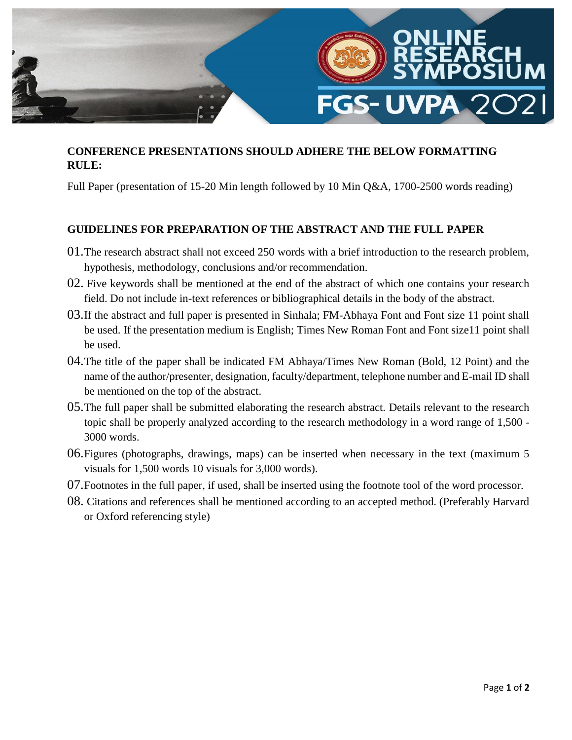

## **CONFERENCE PRESENTATIONS SHOULD ADHERE THE BELOW FORMATTING RULE:**

Full Paper (presentation of 15-20 Min length followed by 10 Min Q&A, 1700-2500 words reading)

## **GUIDELINES FOR PREPARATION OF THE ABSTRACT AND THE FULL PAPER**

- 01.The research abstract shall not exceed 250 words with a brief introduction to the research problem, hypothesis, methodology, conclusions and/or recommendation.
- 02. Five keywords shall be mentioned at the end of the abstract of which one contains your research field. Do not include in-text references or bibliographical details in the body of the abstract.
- 03.If the abstract and full paper is presented in Sinhala; FM-Abhaya Font and Font size 11 point shall be used. If the presentation medium is English; Times New Roman Font and Font size11 point shall be used.
- 04.The title of the paper shall be indicated FM Abhaya/Times New Roman (Bold, 12 Point) and the name of the author/presenter, designation, faculty/department, telephone number and E-mail ID shall be mentioned on the top of the abstract.
- 05.The full paper shall be submitted elaborating the research abstract. Details relevant to the research topic shall be properly analyzed according to the research methodology in a word range of 1,500 - 3000 words.
- 06.Figures (photographs, drawings, maps) can be inserted when necessary in the text (maximum 5 visuals for 1,500 words 10 visuals for 3,000 words).
- 07.Footnotes in the full paper, if used, shall be inserted using the footnote tool of the word processor.
- 08. Citations and references shall be mentioned according to an accepted method. (Preferably Harvard or Oxford referencing style)